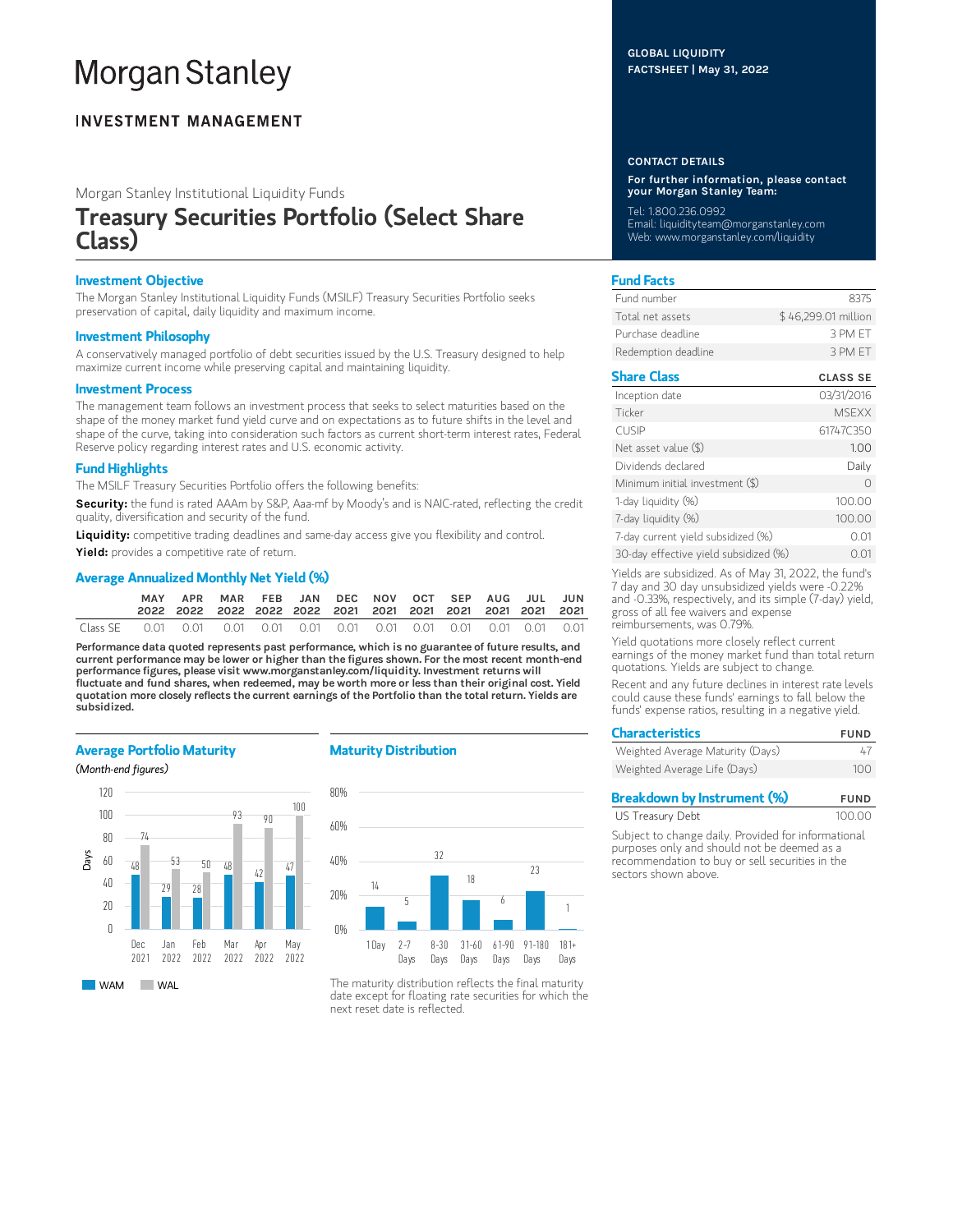# **Morgan Stanley**

# **INVESTMENT MANAGEMENT**

Morgan Stanley Institutional Liquidity Funds

# Treasury Securities Portfolio (Select Share Class)

# Investment Objective

The Morgan Stanley Institutional Liquidity Funds (MSILF) Treasury Securities Portfolio seeks preservation of capital, daily liquidity and maximum income.

# Investment Philosophy

A conservatively managed portfolio of debt securities issued by the U.S. Treasury designed to help maximize current income while preserving capital and maintaining liquidity.

### Investment Process

The management team follows an investment process that seeks to select maturities based on the shape of the money market fund yield curve and on expectations as to future shifts in the level and shape of the curve, taking into consideration such factors as current short-term interest rates, Federal Reserve policy regarding interest rates and U.S. economic activity.

# Fund Highlights

The MSILF Treasury Securities Portfolio offers the following benefits:

Security: the fund is rated AAAm by S&P, Aaa-mf by Moody's and is NAIC-rated, reflecting the credit quality, diversification and security of the fund.

Liquidity: competitive trading deadlines and same-day access give you flexibility and control.

Yield: provides a competitive rate of return.

# Average Annualized Monthly Net Yield (%)

|          | MAY                                                              | APR | MAR FEB JAN DEC NOV OCT SEP AUG JUL JUN |  |  |  |  |  |
|----------|------------------------------------------------------------------|-----|-----------------------------------------|--|--|--|--|--|
| Class SE | 0.01  0.01  0.01  0.01  0.01  0.01  0.01  0.01  0.01  0.01  0.01 |     |                                         |  |  |  |  |  |

Performance data quoted represents past performance, which is no guarantee of future results, and current performance may be lower or higher than the figures shown. For the most recent month-end performance figures, please visit www.morganstanley.com/liquidity. Investment returns will fluctuate and fund shares, when redeemed, may be worth more or less than their original cost. Yield quotation more closely reflects the current earnings of the Portfolio than the total return. Yields are subsidized.

# Average Portfolio Maturity

## (Month-end figures)



# Maturity Distribution



The maturity distribution reflects the final maturity date except for floating rate securities for which the next reset date is reflected.

# GLOBAL LIQUIDITY FACTSHEET | May 31, 2022

#### CONTACT DETAILS

For further information, please contact your Morgan Stanley Team:

Tel: 1.800.236.0992 Email: liquidityteam@morganstanley.com Web: www.morganstanley.com/liquidity

# Fund Facts

| Fund number         | 8375                |
|---------------------|---------------------|
| Total net assets    | \$46,299.01 million |
| Purchase deadline.  | 3 PM FT             |
| Redemption deadline | 3 PM FT             |

# Share Class CLASS SE

| Inception date                        | 03/31/2016   |
|---------------------------------------|--------------|
| Ticker                                | <b>MSEXX</b> |
| <b>CUSIP</b>                          | 61747C350    |
| Net asset value $(\$)$                | 1.00         |
| Dividends declared                    | Daily        |
| Minimum initial investment (\$)       | ∩            |
| 1-day liquidity (%)                   | 100.00       |
| 7-day liquidity (%)                   | 100.00       |
| 7-day current yield subsidized (%)    | 0.01         |
| 30-day effective yield subsidized (%) | 0.01         |

Yields are subsidized. As of May 31, 2022, the fund's 7 day and 30 day unsubsidized yields were -0.22% and -0.33%, respectively, and its simple (7-day) yield, gross of all fee waivers and expense reimbursements, was 0.79%.

Yield quotations more closely reflect current earnings of the money market fund than total return quotations. Yields are subject to change.

Recent and any future declines in interest rate levels could cause these funds' earnings to fall below the funds' expense ratios, resulting in a negative yield.

| <b>Characteristics</b>           | <b>FUND</b> |  |  |
|----------------------------------|-------------|--|--|
| Weighted Average Maturity (Days) | 47          |  |  |
| Weighted Average Life (Days)     | 100         |  |  |

| <b>Breakdown by Instrument (%)</b> | <b>FUND</b> |
|------------------------------------|-------------|
| US Treasury Debt                   | 100.00      |

Subject to change daily. Provided for informational purposes only and should not be deemed as a recommendation to buy or sell securities in the sectors shown above.